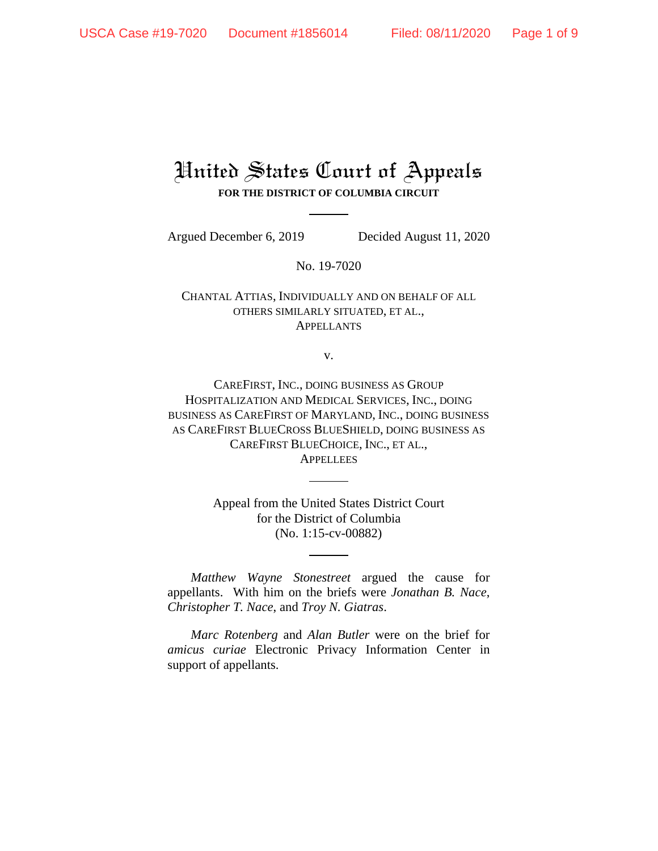## United States Court of Appeals **FOR THE DISTRICT OF COLUMBIA CIRCUIT**

Argued December 6, 2019 Decided August 11, 2020

No. 19-7020

CHANTAL ATTIAS, INDIVIDUALLY AND ON BEHALF OF ALL OTHERS SIMILARLY SITUATED, ET AL., **APPELLANTS** 

v.

CAREFIRST, INC., DOING BUSINESS AS GROUP HOSPITALIZATION AND MEDICAL SERVICES, INC., DOING BUSINESS AS CAREFIRST OF MARYLAND, INC., DOING BUSINESS AS CAREFIRST BLUECROSS BLUESHIELD, DOING BUSINESS AS CAREFIRST BLUECHOICE, INC., ET AL., **APPELLEES** 

> Appeal from the United States District Court for the District of Columbia (No. 1:15-cv-00882)

*Matthew Wayne Stonestreet* argued the cause for appellants. With him on the briefs were *Jonathan B. Nace*, *Christopher T. Nace*, and *Troy N. Giatras*.

*Marc Rotenberg* and *Alan Butler* were on the brief for *amicus curiae* Electronic Privacy Information Center in support of appellants.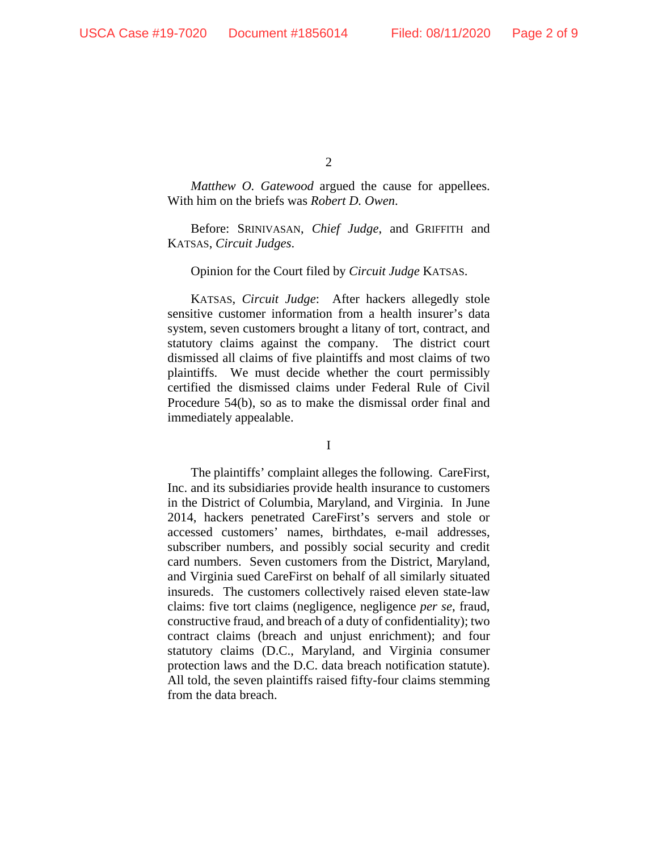*Matthew O. Gatewood* argued the cause for appellees. With him on the briefs was *Robert D. Owen*.

Before: SRINIVASAN, *Chief Judge*, and GRIFFITH and KATSAS, *Circuit Judges*.

Opinion for the Court filed by *Circuit Judge* KATSAS.

KATSAS, *Circuit Judge*: After hackers allegedly stole sensitive customer information from a health insurer's data system, seven customers brought a litany of tort, contract, and statutory claims against the company. The district court dismissed all claims of five plaintiffs and most claims of two plaintiffs. We must decide whether the court permissibly certified the dismissed claims under Federal Rule of Civil Procedure 54(b), so as to make the dismissal order final and immediately appealable.

I

The plaintiffs' complaint alleges the following. CareFirst, Inc. and its subsidiaries provide health insurance to customers in the District of Columbia, Maryland, and Virginia. In June 2014, hackers penetrated CareFirst's servers and stole or accessed customers' names, birthdates, e-mail addresses, subscriber numbers, and possibly social security and credit card numbers. Seven customers from the District, Maryland, and Virginia sued CareFirst on behalf of all similarly situated insureds. The customers collectively raised eleven state-law claims: five tort claims (negligence, negligence *per se*, fraud, constructive fraud, and breach of a duty of confidentiality); two contract claims (breach and unjust enrichment); and four statutory claims (D.C., Maryland, and Virginia consumer protection laws and the D.C. data breach notification statute). All told, the seven plaintiffs raised fifty-four claims stemming from the data breach.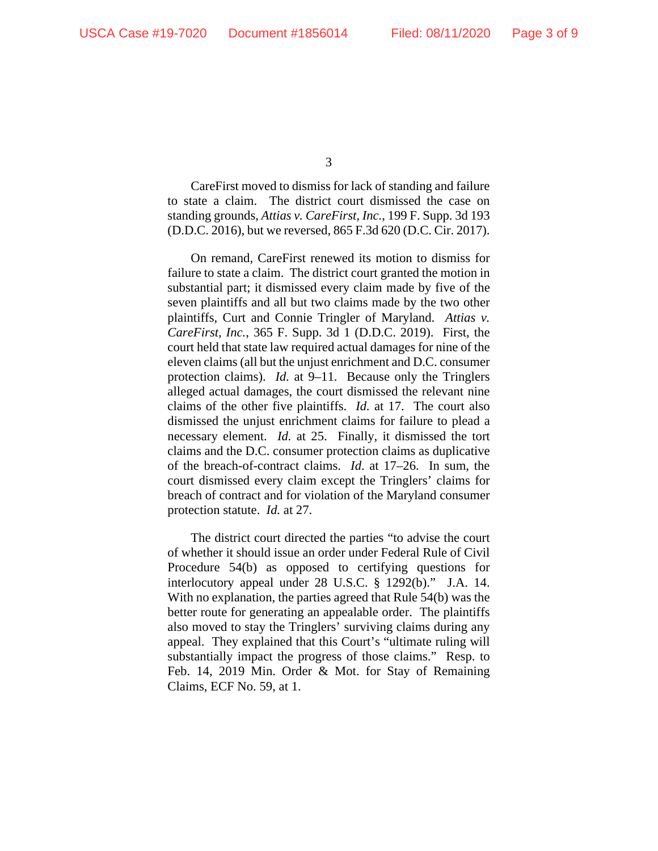CareFirst moved to dismiss for lack of standing and failure to state a claim. The district court dismissed the case on standing grounds, *Attias v. CareFirst, Inc.*, 199 F. Supp. 3d 193 (D.D.C. 2016), but we reversed, 865 F.3d 620 (D.C. Cir. 2017).

On remand, CareFirst renewed its motion to dismiss for failure to state a claim. The district court granted the motion in substantial part; it dismissed every claim made by five of the seven plaintiffs and all but two claims made by the two other plaintiffs, Curt and Connie Tringler of Maryland. *Attias v. CareFirst, Inc.*, 365 F. Supp. 3d 1 (D.D.C. 2019). First, the court held that state law required actual damages for nine of the eleven claims (all but the unjust enrichment and D.C. consumer protection claims). *Id.* at 9–11. Because only the Tringlers alleged actual damages, the court dismissed the relevant nine claims of the other five plaintiffs. *Id.* at 17. The court also dismissed the unjust enrichment claims for failure to plead a necessary element. *Id.* at 25. Finally, it dismissed the tort claims and the D.C. consumer protection claims as duplicative of the breach-of-contract claims. *Id*. at 17–26. In sum, the court dismissed every claim except the Tringlers' claims for breach of contract and for violation of the Maryland consumer protection statute. *Id.* at 27.

The district court directed the parties "to advise the court of whether it should issue an order under Federal Rule of Civil Procedure 54(b) as opposed to certifying questions for interlocutory appeal under 28 U.S.C. § 1292(b)." J.A. 14. With no explanation, the parties agreed that Rule 54(b) was the better route for generating an appealable order. The plaintiffs also moved to stay the Tringlers' surviving claims during any appeal. They explained that this Court's "ultimate ruling will substantially impact the progress of those claims." Resp. to Feb. 14, 2019 Min. Order & Mot. for Stay of Remaining Claims, ECF No. 59, at 1.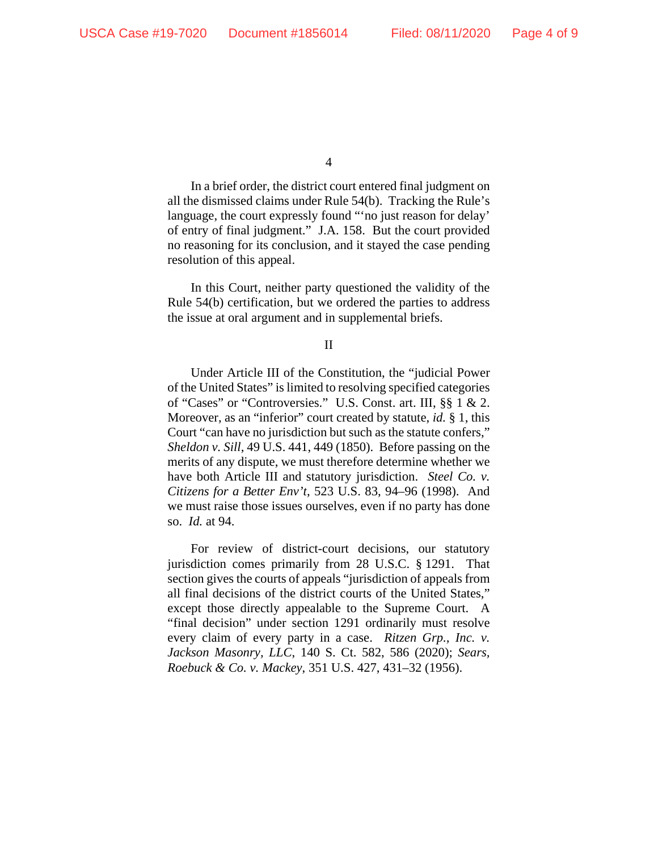In a brief order, the district court entered final judgment on all the dismissed claims under Rule 54(b). Tracking the Rule's language, the court expressly found "'no just reason for delay' of entry of final judgment." J.A. 158. But the court provided no reasoning for its conclusion, and it stayed the case pending resolution of this appeal.

In this Court, neither party questioned the validity of the Rule 54(b) certification, but we ordered the parties to address the issue at oral argument and in supplemental briefs.

II

Under Article III of the Constitution, the "judicial Power of the United States" is limited to resolving specified categories of "Cases" or "Controversies." U.S. Const. art. III, §§ 1 & 2. Moreover, as an "inferior" court created by statute, *id.* § 1, this Court "can have no jurisdiction but such as the statute confers," *Sheldon v. Sill*, 49 U.S. 441, 449 (1850). Before passing on the merits of any dispute, we must therefore determine whether we have both Article III and statutory jurisdiction. *Steel Co. v. Citizens for a Better Env't*, 523 U.S. 83, 94–96 (1998). And we must raise those issues ourselves, even if no party has done so. *Id.* at 94.

For review of district-court decisions, our statutory jurisdiction comes primarily from 28 U.S.C. § 1291. That section gives the courts of appeals "jurisdiction of appeals from all final decisions of the district courts of the United States," except those directly appealable to the Supreme Court. A "final decision" under section 1291 ordinarily must resolve every claim of every party in a case. *Ritzen Grp., Inc. v. Jackson Masonry, LLC*, 140 S. Ct. 582, 586 (2020); *Sears, Roebuck & Co. v. Mackey*, 351 U.S. 427, 431–32 (1956).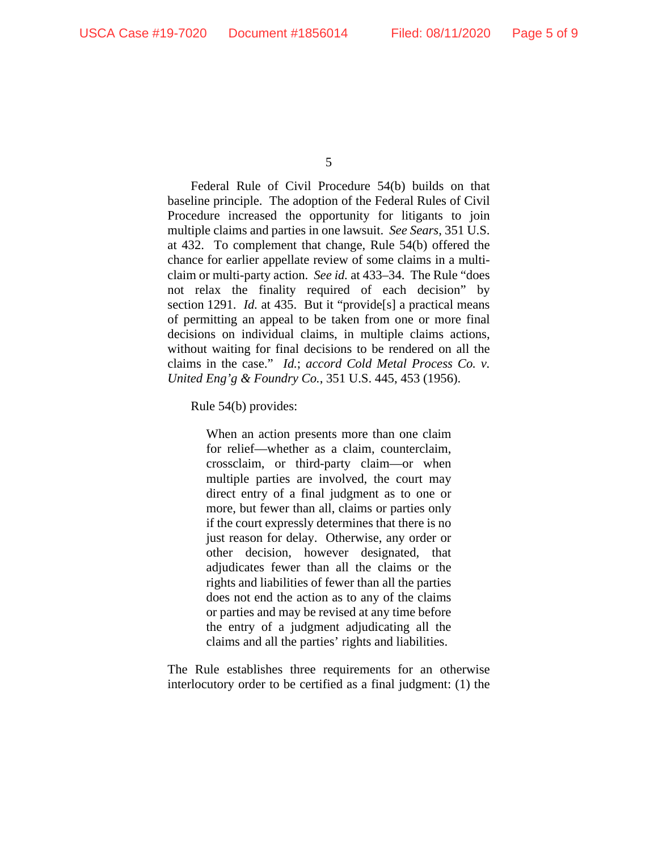Federal Rule of Civil Procedure 54(b) builds on that baseline principle. The adoption of the Federal Rules of Civil Procedure increased the opportunity for litigants to join multiple claims and parties in one lawsuit. *See Sears*, 351 U.S. at 432. To complement that change, Rule 54(b) offered the chance for earlier appellate review of some claims in a multiclaim or multi-party action. *See id.* at 433–34. The Rule "does not relax the finality required of each decision" by section 1291. *Id.* at 435. But it "provide<sup>[s]</sup> a practical means of permitting an appeal to be taken from one or more final decisions on individual claims, in multiple claims actions, without waiting for final decisions to be rendered on all the claims in the case." *Id.*; *accord Cold Metal Process Co. v. United Eng'g & Foundry Co.*, 351 U.S. 445, 453 (1956).

Rule 54(b) provides:

When an action presents more than one claim for relief—whether as a claim, counterclaim, crossclaim, or third-party claim—or when multiple parties are involved, the court may direct entry of a final judgment as to one or more, but fewer than all, claims or parties only if the court expressly determines that there is no just reason for delay. Otherwise, any order or other decision, however designated, that adjudicates fewer than all the claims or the rights and liabilities of fewer than all the parties does not end the action as to any of the claims or parties and may be revised at any time before the entry of a judgment adjudicating all the claims and all the parties' rights and liabilities.

The Rule establishes three requirements for an otherwise interlocutory order to be certified as a final judgment: (1) the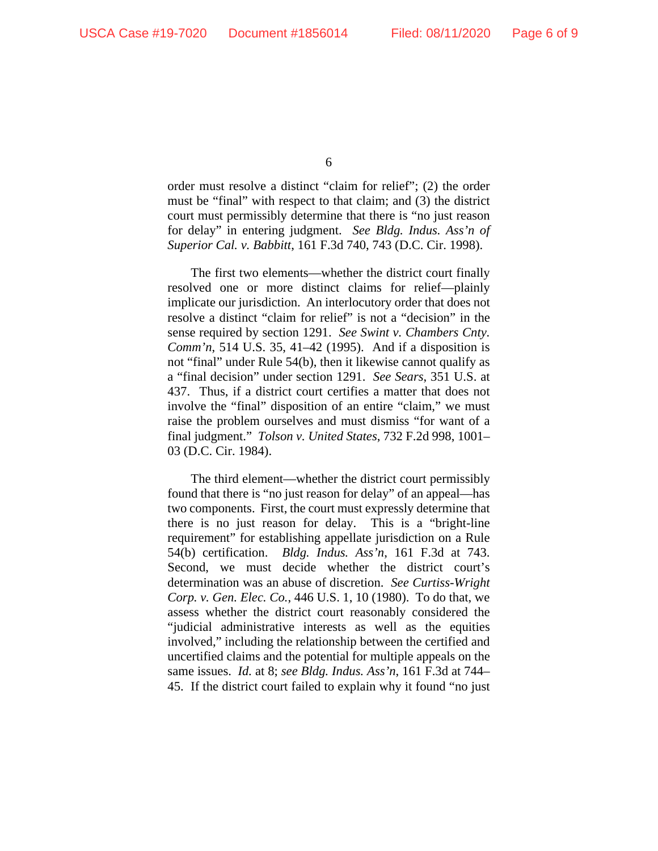order must resolve a distinct "claim for relief"; (2) the order must be "final" with respect to that claim; and (3) the district court must permissibly determine that there is "no just reason for delay" in entering judgment. *See Bldg. Indus. Ass'n of Superior Cal. v. Babbitt*, 161 F.3d 740, 743 (D.C. Cir. 1998).

The first two elements—whether the district court finally resolved one or more distinct claims for relief—plainly implicate our jurisdiction. An interlocutory order that does not resolve a distinct "claim for relief" is not a "decision" in the sense required by section 1291. *See Swint v. Chambers Cnty. Comm'n*, 514 U.S. 35, 41–42 (1995). And if a disposition is not "final" under Rule 54(b), then it likewise cannot qualify as a "final decision" under section 1291. *See Sears*, 351 U.S. at 437. Thus, if a district court certifies a matter that does not involve the "final" disposition of an entire "claim," we must raise the problem ourselves and must dismiss "for want of a final judgment." *Tolson v. United States*, 732 F.2d 998, 1001– 03 (D.C. Cir. 1984).

The third element—whether the district court permissibly found that there is "no just reason for delay" of an appeal—has two components. First, the court must expressly determine that there is no just reason for delay. This is a "bright-line requirement" for establishing appellate jurisdiction on a Rule 54(b) certification. *Bldg. Indus. Ass'n*, 161 F.3d at 743. Second, we must decide whether the district court's determination was an abuse of discretion. *See Curtiss-Wright Corp. v. Gen. Elec. Co.*, 446 U.S. 1, 10 (1980). To do that, we assess whether the district court reasonably considered the "judicial administrative interests as well as the equities involved," including the relationship between the certified and uncertified claims and the potential for multiple appeals on the same issues. *Id.* at 8; *see Bldg. Indus. Ass'n*, 161 F.3d at 744– 45. If the district court failed to explain why it found "no just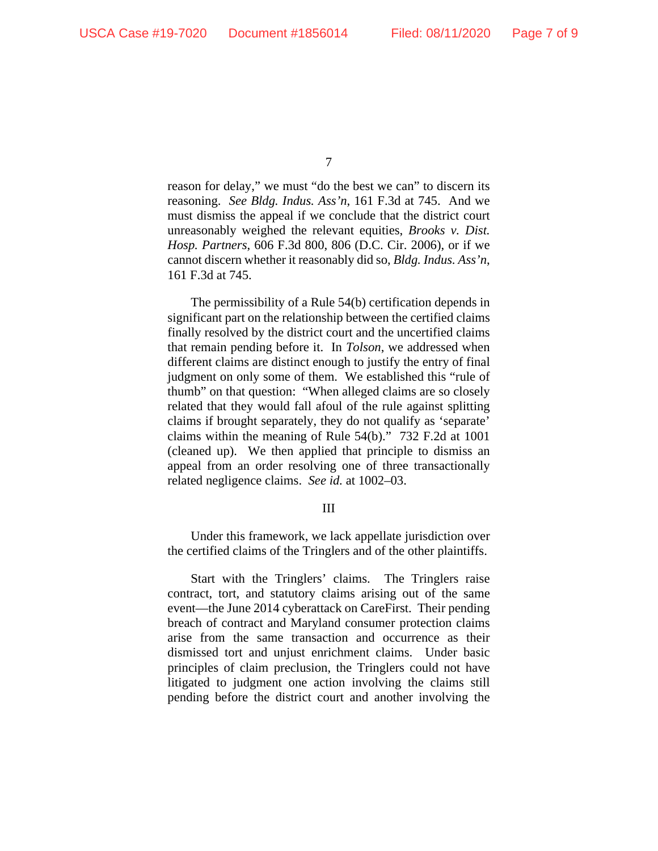reason for delay," we must "do the best we can" to discern its reasoning. *See Bldg. Indus. Ass'n*, 161 F.3d at 745. And we must dismiss the appeal if we conclude that the district court unreasonably weighed the relevant equities, *Brooks v. Dist. Hosp. Partners*, 606 F.3d 800, 806 (D.C. Cir. 2006), or if we cannot discern whether it reasonably did so, *Bldg. Indus. Ass'n*, 161 F.3d at 745.

The permissibility of a Rule 54(b) certification depends in significant part on the relationship between the certified claims finally resolved by the district court and the uncertified claims that remain pending before it. In *Tolson*, we addressed when different claims are distinct enough to justify the entry of final judgment on only some of them. We established this "rule of thumb" on that question: "When alleged claims are so closely related that they would fall afoul of the rule against splitting claims if brought separately, they do not qualify as 'separate' claims within the meaning of Rule 54(b)." 732 F.2d at 1001 (cleaned up). We then applied that principle to dismiss an appeal from an order resolving one of three transactionally related negligence claims. *See id.* at 1002–03.

## III

Under this framework, we lack appellate jurisdiction over the certified claims of the Tringlers and of the other plaintiffs.

Start with the Tringlers' claims. The Tringlers raise contract, tort, and statutory claims arising out of the same event—the June 2014 cyberattack on CareFirst. Their pending breach of contract and Maryland consumer protection claims arise from the same transaction and occurrence as their dismissed tort and unjust enrichment claims. Under basic principles of claim preclusion, the Tringlers could not have litigated to judgment one action involving the claims still pending before the district court and another involving the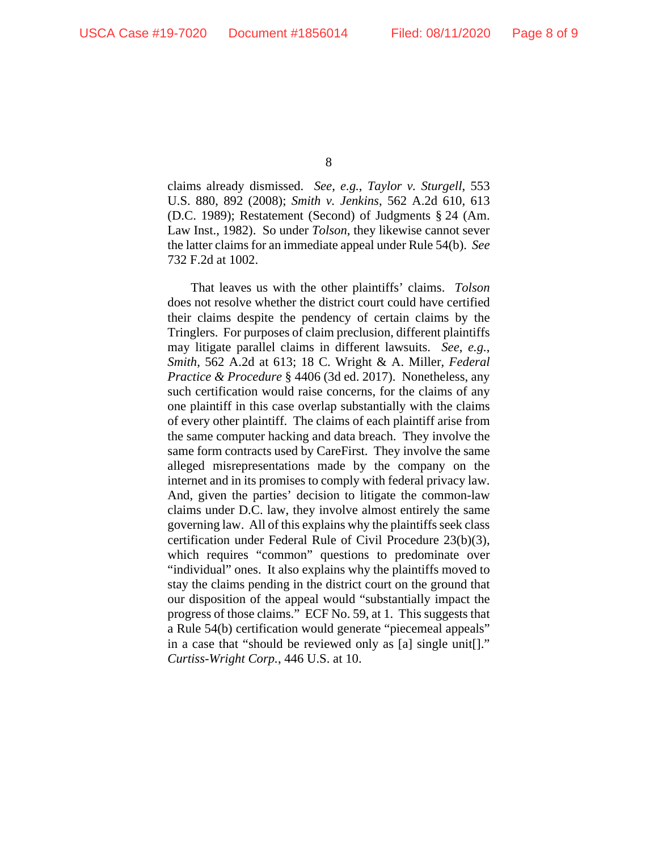claims already dismissed. *See*, *e.g.*, *Taylor v. Sturgell*, 553 U.S. 880, 892 (2008); *Smith v. Jenkins*, 562 A.2d 610, 613 (D.C. 1989); Restatement (Second) of Judgments § 24 (Am. Law Inst., 1982). So under *Tolson*, they likewise cannot sever the latter claims for an immediate appeal under Rule 54(b). *See* 732 F.2d at 1002.

That leaves us with the other plaintiffs' claims. *Tolson* does not resolve whether the district court could have certified their claims despite the pendency of certain claims by the Tringlers. For purposes of claim preclusion, different plaintiffs may litigate parallel claims in different lawsuits. *See*, *e.g.*, *Smith*, 562 A.2d at 613; 18 C. Wright & A. Miller, *Federal Practice & Procedure* § 4406 (3d ed. 2017). Nonetheless, any such certification would raise concerns, for the claims of any one plaintiff in this case overlap substantially with the claims of every other plaintiff. The claims of each plaintiff arise from the same computer hacking and data breach. They involve the same form contracts used by CareFirst. They involve the same alleged misrepresentations made by the company on the internet and in its promises to comply with federal privacy law. And, given the parties' decision to litigate the common-law claims under D.C. law, they involve almost entirely the same governing law. All of this explains why the plaintiffs seek class certification under Federal Rule of Civil Procedure 23(b)(3), which requires "common" questions to predominate over "individual" ones. It also explains why the plaintiffs moved to stay the claims pending in the district court on the ground that our disposition of the appeal would "substantially impact the progress of those claims." ECF No. 59, at 1. This suggests that a Rule 54(b) certification would generate "piecemeal appeals" in a case that "should be reviewed only as [a] single unit[]." *Curtiss-Wright Corp.*, 446 U.S. at 10.